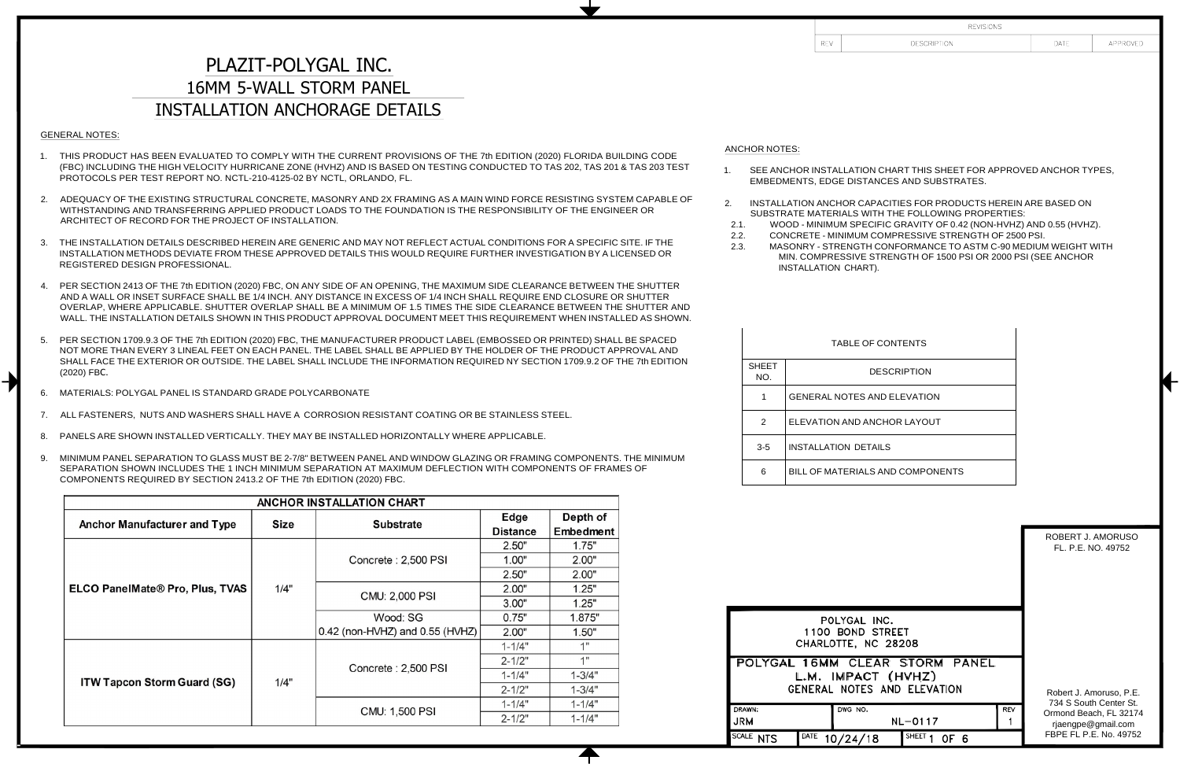## PLAZIT-POLYGAL INC. 16MM 5-WALL STORM PANEL INSTALLATION ANCHORAGE DETAILS

### GENERAL NOTES:

╋

- 1. THIS PRODUCT HAS BEEN EVALUATED TO COMPLY WITH THE CURRENT PROVISIONS OF THE 7th EDITION (2020) FLORIDA BUILDING CODE (FBC) INCLUDING THE HIGH VELOCITY HURRICANE ZONE (HVHZ) AND IS BASED ON TESTING CONDUCTED TO TAS 202, TAS 201 & TAS 203 TEST PROTOCOLS PER TEST REPORT NO. NCTL-210-4125-02 BY NCTL, ORLANDO, FL.
- 2. ADEQUACY OF THE EXISTING STRUCTURAL CONCRETE, MASONRY AND 2X FRAMING AS A MAIN WIND FORCE RESISTING SYSTEM CAPABLE OF WITHSTANDING AND TRANSFERRING APPLIED PRODUCT LOADS TO THE FOUNDATION IS THE RESPONSIBILITY OF THE ENGINEER OR ARCHITECT OF RECORD FOR THE PROJECT OF INSTALLATION.
- 3. THE INSTALLATION DETAILS DESCRIBED HEREIN ARE GENERIC AND MAY NOT REFLECT ACTUAL CONDITIONS FOR A SPECIFIC SITE. IF THE INSTALLATION METHODS DEVIATE FROM THESE APPROVED DETAILS THIS WOULD REQUIRE FURTHER INVESTIGATION BY A LICENSED OR REGISTERED DESIGN PROFESSIONAL.
- 4. PER SECTION 2413 OF THE 7th EDITION (2020) FBC, ON ANY SIDE OF AN OPENING, THE MAXIMUM SIDE CLEARANCE BETWEEN THE SHUTTER AND A WALL OR INSET SURFACE SHALL BE 1/4 INCH. ANY DISTANCE IN EXCESS OF 1/4 INCH SHALL REQUIRE END CLOSURE OR SHUTTER OVERLAP, WHERE APPLICABLE. SHUTTER OVERLAP SHALL BE A MINIMUM OF 1.5 TIMES THE SIDE CLEARANCE BETWEEN THE SHUTTER AND WALL. THE INSTALLATION DETAILS SHOWN IN THIS PRODUCT APPROVAL DOCUMENT MEET THIS REQUIREMENT WHEN INSTALLED AS SHOWN.
- 5. PER SECTION 1709.9.3 OF THE 7th EDITION (2020) FBC, THE MANUFACTURER PRODUCT LABEL (EMBOSSED OR PRINTED) SHALL BE SPACED NOT MORE THAN EVERY 3 LINEAL FEET ON EACH PANEL. THE LABEL SHALL BE APPLIED BY THE HOLDER OF THE PRODUCT APPROVAL AND SHALL FACE THE EXTERIOR OR OUTSIDE. THE LABEL SHALL INCLUDE THE INFORMATION REQUIRED NY SECTION 1709.9.2 OF THE 7th EDITION (2020) FBC.
- 6. MATERIALS: POLYGAL PANEL IS STANDARD GRADE POLYCARBONATE
- 7. ALL FASTENERS, NUTS AND WASHERS SHALL HAVE A CORROSION RESISTANT COATING OR BE STAINLESS STEEL.
- 8. PANELS ARE SHOWN INSTALLED VERTICALLY. THEY MAY BE INSTALLED HORIZONTALLY WHERE APPLICABLE.
- 9. MINIMUM PANEL SEPARATION TO GLASS MUST BE 2-7/8" BETWEEN PANEL AND WINDOW GLAZING OR FRAMING COMPONENTS. THE MINIMUM SEPARATION SHOWN INCLUDES THE 1 INCH MINIMUM SEPARATION AT MAXIMUM DEFLECTION WITH COMPONENTS OF FRAMES OF COMPONENTS REQUIRED BY SECTION 2413.2 OF THE 7th EDITION (2020) FBC.

| ANCHOR INSTALLATION CHART              |             |                                     |                 |            |  |
|----------------------------------------|-------------|-------------------------------------|-----------------|------------|--|
|                                        | <b>Size</b> | <b>Substrate</b>                    | Edge            | Depth of   |  |
| Anchor Manufacturer and Type           |             |                                     | <b>Distance</b> | Embedment  |  |
|                                        |             |                                     | 2.50"           | 1.75"      |  |
|                                        |             | Concrete: 2,500 PSI                 | 1.00"           | 2.00"      |  |
|                                        |             |                                     | 2.50"           | 2.00"      |  |
| <b>ELCO PanelMate® Pro, Plus, TVAS</b> | 1/4"        | CMU: 2,000 PSI                      | 2.00"           | 1.25"      |  |
|                                        |             |                                     | 3.00"           | 1.25"      |  |
|                                        |             | Wood: SG                            | 0.75"           | 1.875"     |  |
|                                        |             | $0.42$ (non-HVHZ) and $0.55$ (HVHZ) | 2.00"           | 1.50"      |  |
| <b>ITW Tapcon Storm Guard (SG)</b>     |             |                                     | $1 - 1/4"$      | 1"         |  |
|                                        |             | Concrete: 2,500 PSI                 | $2 - 1/2"$      | 1"         |  |
|                                        | 1/4"        |                                     | $1 - 1/4"$      | $1 - 3/4"$ |  |
|                                        |             |                                     | $2 - 1/2"$      | $1 - 3/4"$ |  |
|                                        |             | CMU: 1,500 PSI                      | $1 - 1/4"$      | $1 - 1/4"$ |  |
|                                        |             |                                     | $2 - 1/2"$      | $1 - 1/4"$ |  |

#### ANCHOR NOTES:

- 1. SEE ANCHOR INSTALLATION EMBEDMENTS, EDGE DIST
- 2. INSTALLATION ANCHOR CA SUBSTRATE MATERIALS \
- 2.1. WOOD MINIMUM SPE
- 2.2. CONCRETE MINIMUM
- 2.3. MASONRY STRENGT MIN. COMPRESSIVE
	- **INSTALLATION CHAR**

#### TABLE<sup>(</sup>

| <b>SHEFT</b><br>NO. | <b>DESCRIPTION</b>                 |
|---------------------|------------------------------------|
| 1                   | <b>GENERAL NOTES AND ELEVATION</b> |
| $\mathcal{P}$       | ELEVATION AND ANCHOR LAYOUT        |
| $3-5$               | <b>INSTALLATION DETAILS</b>        |
| հ                   | BILL OF MATERIALS AND COMPONENTS   |

|                            | POLYGAL INC.<br>1100 BOND STREET<br>CHARLOTTE, NC 28208 |                                |  |                 |  |
|----------------------------|---------------------------------------------------------|--------------------------------|--|-----------------|--|
|                            | L.M. IMPACT (HVHZ)<br>GENERAL NOTES AND ELEVATION       | POLYGAL 16MM CLEAR STORM PANEL |  | Robert<br>734 S |  |
| RAWN:<br>RM                | DWG NO.<br>REV<br>NL-0117                               |                                |  |                 |  |
| ALE:<br>DATE<br><b>NTS</b> | 10/24/18                                                | SHEET<br>OF 6                  |  | <b>FBPE F</b>   |  |

| <b>REVISIONS</b>                                                                                                                                                                                                                                                                                                                                                             |                                         |          |
|------------------------------------------------------------------------------------------------------------------------------------------------------------------------------------------------------------------------------------------------------------------------------------------------------------------------------------------------------------------------------|-----------------------------------------|----------|
| DESCRIPTION                                                                                                                                                                                                                                                                                                                                                                  | DATE                                    | APPROVED |
| ON CHART THIS SHEET FOR APPROVED ANCHOR TYPES,<br>TANCES AND SUBSTRATES.<br>APACITIES FOR PRODUCTS HEREIN ARE BASED ON<br><b>WITH THE FOLLOWING PROPERTIES:</b><br>ECIFIC GRAVITY OF 0.42 (NON-HVHZ) AND 0.55 (HVHZ).<br><b>MCOMPRESSIVE STRENGTH OF 2500 PSI.</b><br>H CONFORMANCE TO ASTM C-90 MEDIUM WEIGHT WITH<br>ESTRENGTH OF 1500 PSI OR 2000 PSI (SEE ANCHOR<br>RT). |                                         |          |
| OF CONTENTS                                                                                                                                                                                                                                                                                                                                                                  |                                         |          |
| <b>DESCRIPTION</b>                                                                                                                                                                                                                                                                                                                                                           |                                         |          |
| <b>AND ELEVATION</b>                                                                                                                                                                                                                                                                                                                                                         |                                         |          |
| ANCHOR LAYOUT                                                                                                                                                                                                                                                                                                                                                                |                                         |          |
| <b>TAILS</b>                                                                                                                                                                                                                                                                                                                                                                 |                                         |          |
| LS AND COMPONENTS                                                                                                                                                                                                                                                                                                                                                            |                                         |          |
|                                                                                                                                                                                                                                                                                                                                                                              | ROBERT J. AMORUSO<br>FL. P.E. NO. 49752 |          |

J. Amoruso, P.E. South Center St. Beach, FL 32174 gpe@gmail.com L P.E. No. 49752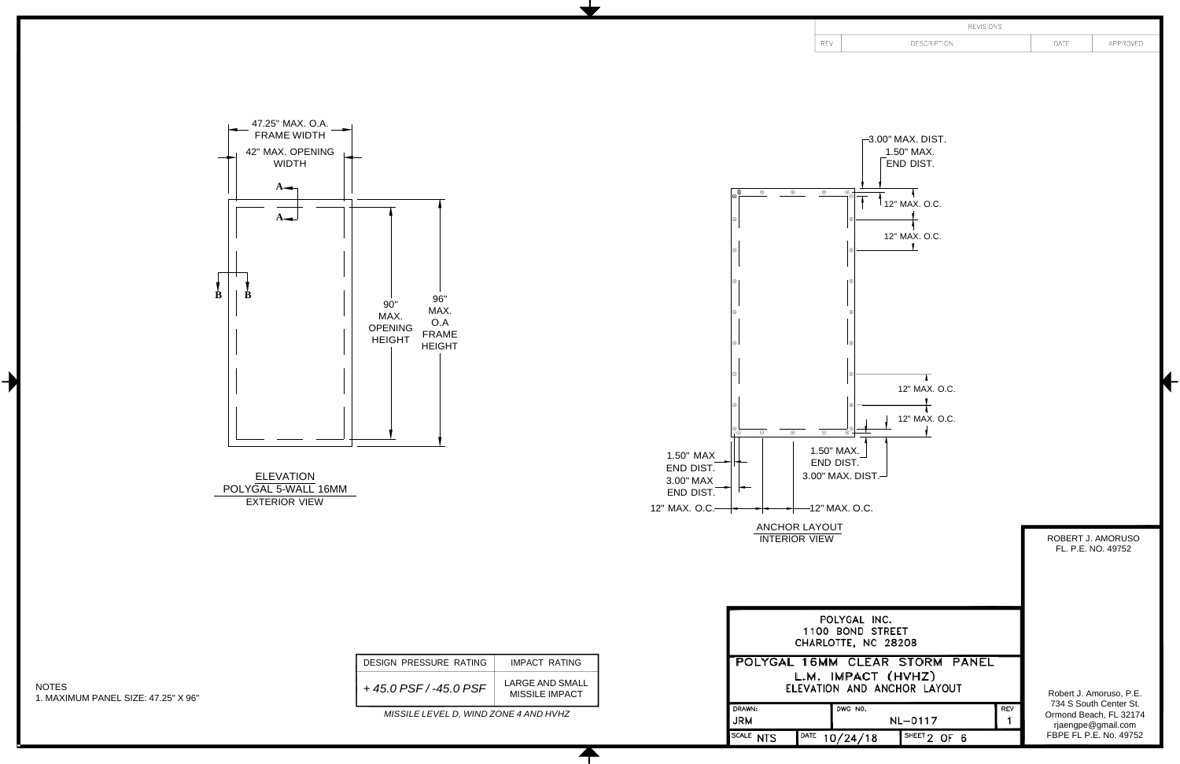47.25" MAX. O.A. FRAME WIDTH 42" MAX. OPENING WIDTH  $A \rightarrow$  $A$ **B B** 90" MAX. OPENING HEIGHT 96" MAX. O.A FRAME HEIGHT



NOTES 1. MAXIMUM PANEL SIZE: 47.25" X 96"

 $\blacktriangleright$ 

*MISSILE LEVEL D, WIND ZONE 4 AND HVHZ* 

 $\biguparrow$ 

 $REV$ 

| <b>REVISIONS</b>   |      |          |
|--------------------|------|----------|
| <b>DESCRIPTION</b> | DATE | APPROVED |
|                    |      |          |

 $-3.00$ " MAX. DIST. 1.50" MAX. END DIST.  $\circ$  $^{\circ}$ \_⊚ౖ⊣  $\overline{1}$  $\uparrow$  12" MAX. O.C. 12" MAX. O.C.  $\begin{array}{c|c} \hline \circ & \circ \\ \hline \end{array}$  $\overline{\circ}$ ⊸⊗—∎ 1.50" MAX. 1.50" MAX END DIST. END DIST.  $3.00"$  MAX. DIST. $-$ 3.00" MAX END DIST.  $-12"$  MAX. O.C. 12" MAX. O.C. ANCHOR LAYOUT

ELEVATION POLYGAL 5-WALL 16MM EXTERIOR VIEW

| DESIGN PRESSURE RATING | IMPACT RATING                            |
|------------------------|------------------------------------------|
| $+45.0$ PSF/-45.0 PSF  | LARGE AND SMALL<br><b>MISSILE IMPACT</b> |

|                     | <b>INTERIOR VIEW</b>                                    |                                                               |      | ROBERT J. AMORUSO<br>FL, P.E. NO. 49752                                |
|---------------------|---------------------------------------------------------|---------------------------------------------------------------|------|------------------------------------------------------------------------|
|                     | POLYGAL INC.<br>1100 BOND STREET<br>CHARLOTTE, NC 28208 |                                                               |      |                                                                        |
|                     | L.M. IMPACT (HVHZ)                                      | POLYGAL 16MM CLEAR STORM PANEL<br>ELEVATION AND ANCHOR LAYOUT |      | Robert J. Amoruso, P.E.                                                |
| DRAWN:<br>JRM       | DWG NO.                                                 | NL-0117                                                       | REV  | 734 S South Center St.<br>Ormond Beach, FL 32174<br>rjaengpe@gmail.com |
| SCALE<br><b>NTS</b> | DATE<br>10/24/18                                        | SHEET <sub>2</sub>                                            | OF 6 | FBPE FL P.E. No. 49752                                                 |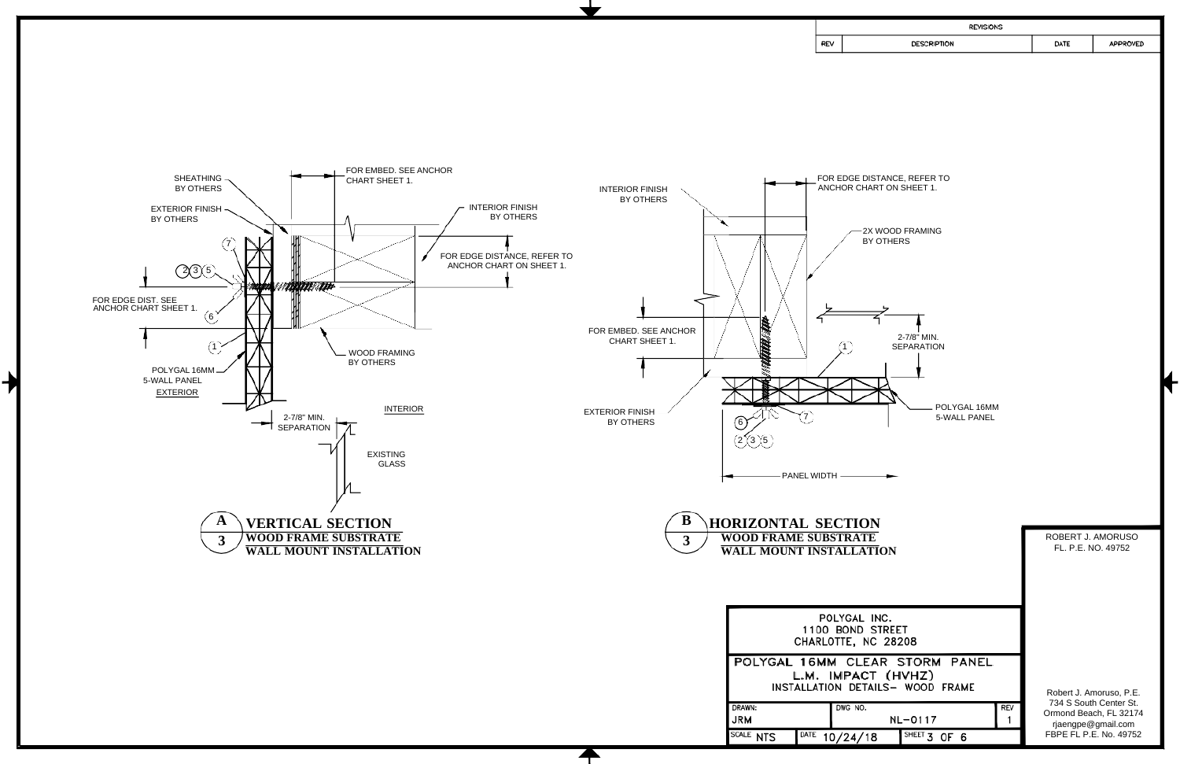

7

| <b>REVISIONS</b> |      |                 |
|------------------|------|-----------------|
| DESCRIPTION      | DATE | <b>APPROVED</b> |
|                  |      |                 |

| )N                                              |     |                                                                        |
|-------------------------------------------------|-----|------------------------------------------------------------------------|
| $\overline{\textbf{E}}$<br>TION                 |     | ROBERT J. AMORUSO<br>FL. P.E. NO. 49752                                |
| INC.<br><b>STREET</b><br>IC 28208               |     |                                                                        |
| AR STORM PANEL<br>:T (HVHZ)<br>AILS- WOOD FRAME |     | Robert J. Amoruso, P.E.                                                |
| NL-0117                                         | REV | 734 S South Center St.<br>Ormond Beach, FL 32174<br>rjaengpe@gmail.com |
| SHEET 3 OF 6<br>8                               |     | FBPE FL P.E. No. 49752                                                 |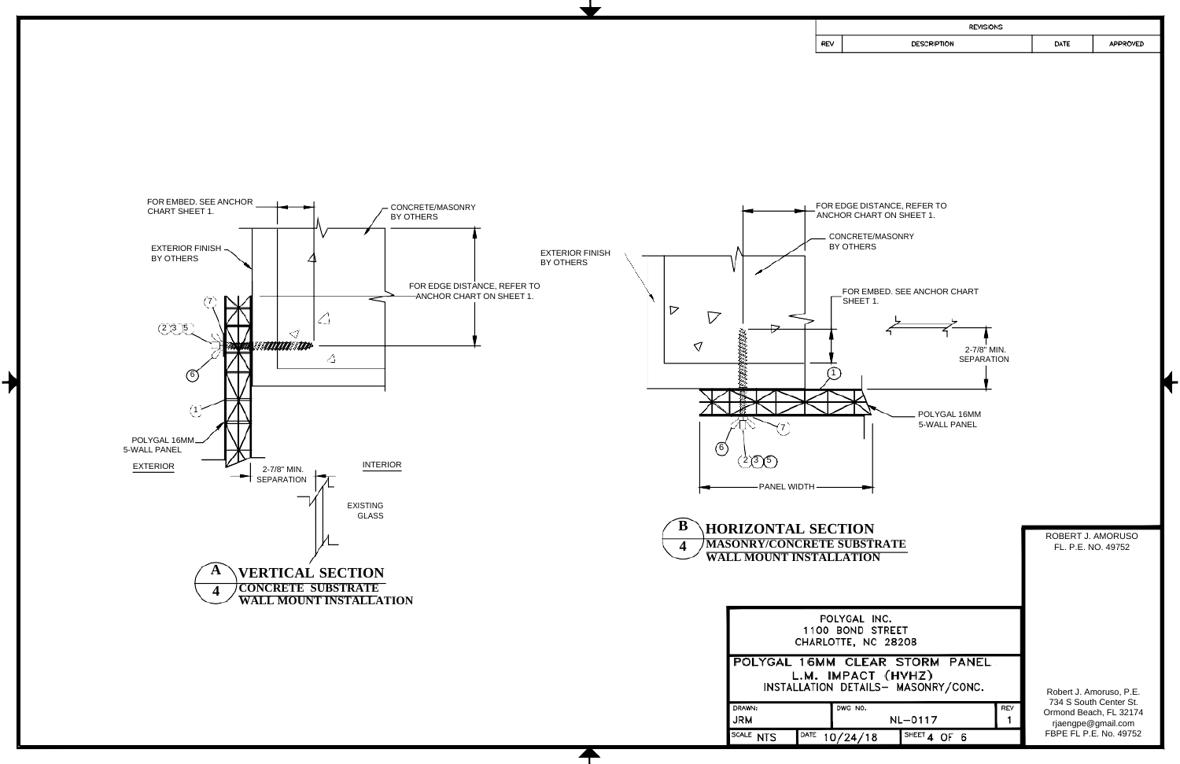FOR EDGE DISTANCE, REFER TO ANCHOR CHART ON SHEET 1.



7

| <b>REVISIONS</b> |      |                 |
|------------------|------|-----------------|
| DESCRIPTION      | DATE | <b>APPROVED</b> |
|                  |      |                 |



POLYGAL 16MM 5-WALL PANEL

| TRATE<br>$\overline{\text{N}}$                  | ROBERT J. AMORUSO<br>FL. P.E. NO. 49752                                |
|-------------------------------------------------|------------------------------------------------------------------------|
| INC.<br><b>STREET</b><br>IC 28208               |                                                                        |
| AR STORM PANEL<br>T (HVHZ)<br>LS- MASONRY/CONC. | Robert J. Amoruso, P.E.                                                |
| REV<br>NL-0117                                  | 734 S South Center St.<br>Ormond Beach, FL 32174<br>rjaengpe@gmail.com |
| SHEET 4 OF 6<br>8                               | FBPE FL P.E. No. 49752                                                 |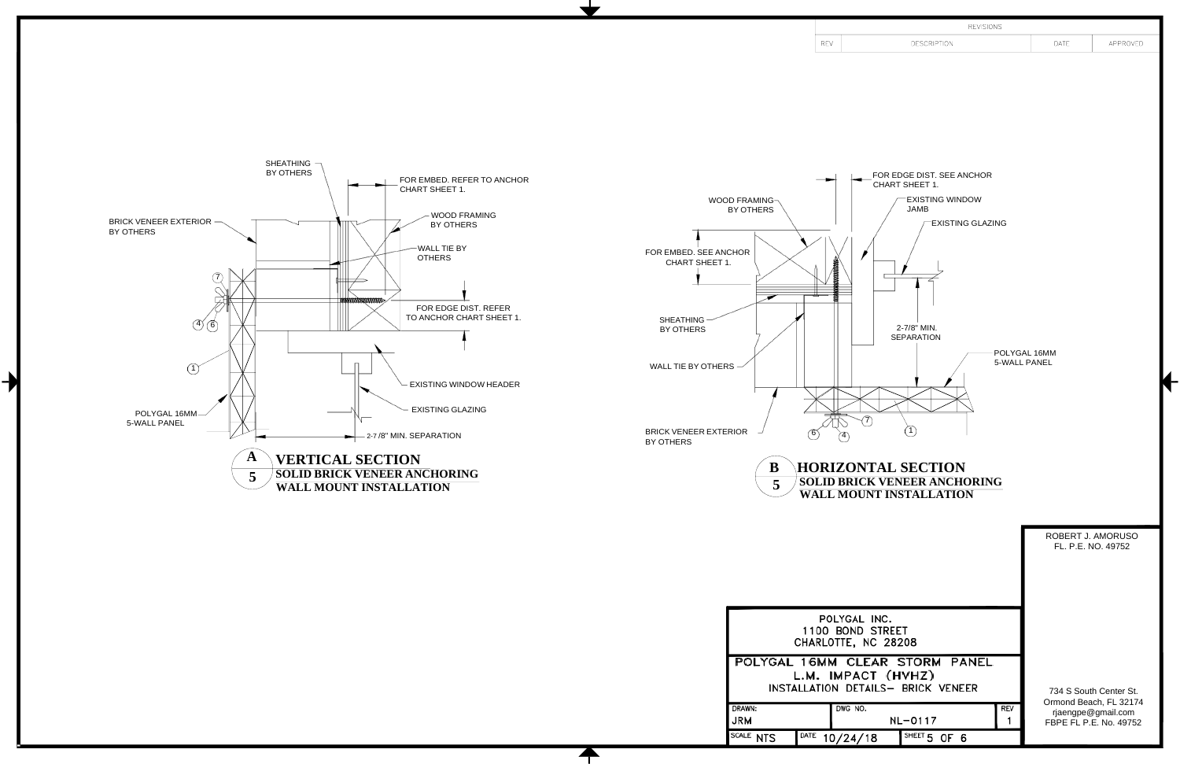

 $\blacktriangleright$ 



# **WALL MOUNT INSTALLATION**

|                             |                                                         |                                                                      |            | ROBERT J. AMORUSO<br>FL, P.E. NO. 49752                                |
|-----------------------------|---------------------------------------------------------|----------------------------------------------------------------------|------------|------------------------------------------------------------------------|
|                             | POLYGAL INC.<br>1100 BOND STREET<br>CHARLOTTE, NC 28208 |                                                                      |            |                                                                        |
|                             | L.M. IMPACT (HVHZ)                                      | POLYGAL 16MM CLEAR STORM PANEL<br>INSTALLATION DETAILS- BRICK VENEER |            | 734 S South Center St.                                                 |
| DRAWN:<br>JRM               | DWG NO.                                                 | NL-0117                                                              | <b>REV</b> | Ormond Beach, FL 32174<br>rjaengpe@gmail.com<br>FBPE FL P.E. No. 49752 |
| SCALE<br>DATE<br><b>NTS</b> | 10/24/18                                                | SHEET <sub>5</sub><br>OF 6                                           |            |                                                                        |

REV

| <b>REVISIONS</b>   |      |          |
|--------------------|------|----------|
| <b>DESCRIPTION</b> | DATE | APPROVED |
|                    |      |          |
|                    |      |          |
|                    |      |          |
|                    |      |          |